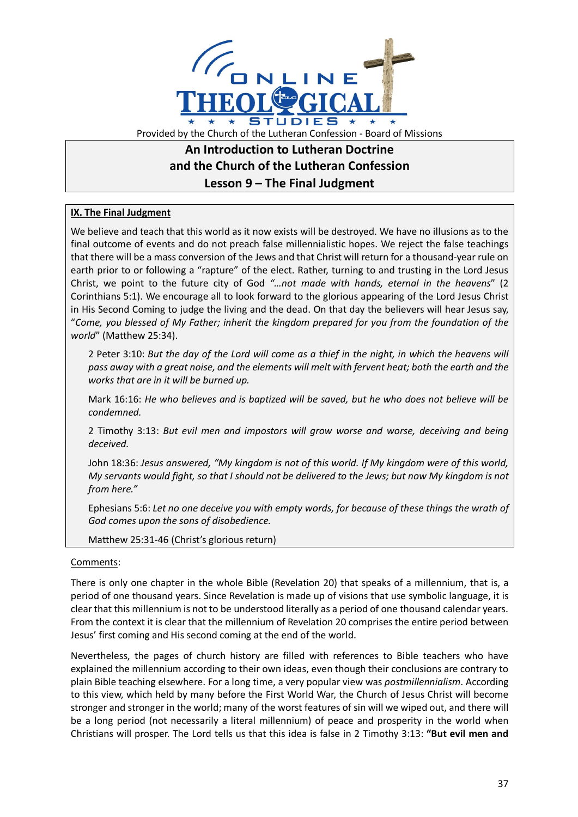

# **An Introduction to Lutheran Doctrine and the Church of the Lutheran Confession Lesson 9 – The Final Judgment**

## **IX. The Final Judgment**

We believe and teach that this world as it now exists will be destroyed. We have no illusions as to the final outcome of events and do not preach false millennialistic hopes. We reject the false teachings that there will be a mass conversion of the Jews and that Christ will return for a thousand-year rule on earth prior to or following a "rapture" of the elect. Rather, turning to and trusting in the Lord Jesus Christ, we point to the future city of God *"…not made with hands, eternal in the heavens*" (2 Corinthians 5:1). We encourage all to look forward to the glorious appearing of the Lord Jesus Christ in His Second Coming to judge the living and the dead. On that day the believers will hear Jesus say, "*Come, you blessed of My Father; inherit the kingdom prepared for you from the foundation of the world*" (Matthew 25:34).

2 Peter 3:10: *But the day of the Lord will come as a thief in the night, in which the heavens will pass away with a great noise, and the elements will melt with fervent heat; both the earth and the works that are in it will be burned up.*

Mark 16:16: *He who believes and is baptized will be saved, but he who does not believe will be condemned.*

2 Timothy 3:13: *But evil men and impostors will grow worse and worse, deceiving and being deceived.*

John 18:36: *Jesus answered, "My kingdom is not of this world. If My kingdom were of this world, My servants would fight, so that I should not be delivered to the Jews; but now My kingdom is not from here."*

Ephesians 5:6: *Let no one deceive you with empty words, for because of these things the wrath of God comes upon the sons of disobedience.*

Matthew 25:31-46 (Christ's glorious return)

## Comments:

There is only one chapter in the whole Bible (Revelation 20) that speaks of a millennium, that is, a period of one thousand years. Since Revelation is made up of visions that use symbolic language, it is clear that this millennium is not to be understood literally as a period of one thousand calendar years. From the context it is clear that the millennium of Revelation 20 comprises the entire period between Jesus' first coming and His second coming at the end of the world.

Nevertheless, the pages of church history are filled with references to Bible teachers who have explained the millennium according to their own ideas, even though their conclusions are contrary to plain Bible teaching elsewhere. For a long time, a very popular view was *postmillennialism*. According to this view, which held by many before the First World War, the Church of Jesus Christ will become stronger and stronger in the world; many of the worst features of sin will we wiped out, and there will be a long period (not necessarily a literal millennium) of peace and prosperity in the world when Christians will prosper. The Lord tells us that this idea is false in 2 Timothy 3:13: **"But evil men and**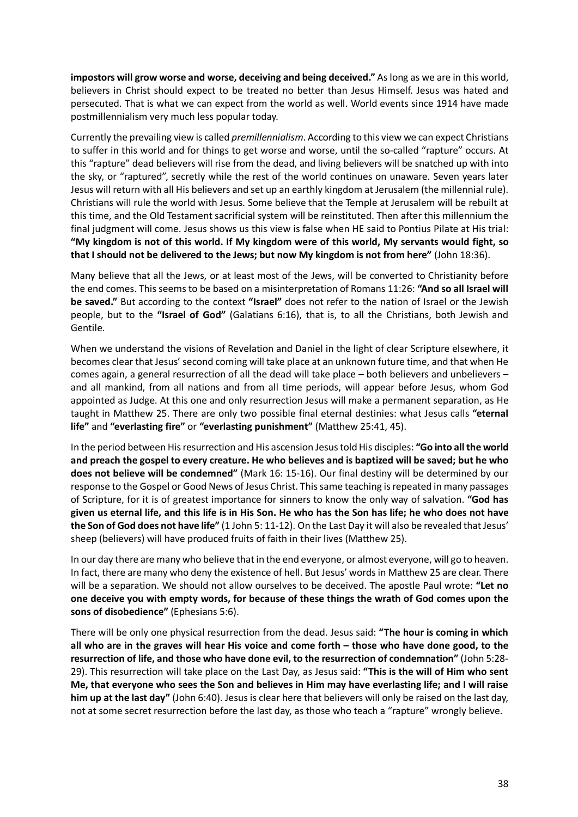**impostors will grow worse and worse, deceiving and being deceived."** As long as we are in this world, believers in Christ should expect to be treated no better than Jesus Himself. Jesus was hated and persecuted. That is what we can expect from the world as well. World events since 1914 have made postmillennialism very much less popular today.

Currently the prevailing view is called *premillennialism*. According to this view we can expect Christians to suffer in this world and for things to get worse and worse, until the so-called "rapture" occurs. At this "rapture" dead believers will rise from the dead, and living believers will be snatched up with into the sky, or "raptured", secretly while the rest of the world continues on unaware. Seven years later Jesus will return with all His believers and set up an earthly kingdom at Jerusalem (the millennial rule). Christians will rule the world with Jesus. Some believe that the Temple at Jerusalem will be rebuilt at this time, and the Old Testament sacrificial system will be reinstituted. Then after this millennium the final judgment will come. Jesus shows us this view is false when HE said to Pontius Pilate at His trial: **"My kingdom is not of this world. If My kingdom were of this world, My servants would fight, so that I should not be delivered to the Jews; but now My kingdom is not from here"** (John 18:36).

Many believe that all the Jews, or at least most of the Jews, will be converted to Christianity before the end comes. This seems to be based on a misinterpretation of Romans 11:26: **"And so all Israel will be saved."** But according to the context **"Israel"** does not refer to the nation of Israel or the Jewish people, but to the **"Israel of God"** (Galatians 6:16), that is, to all the Christians, both Jewish and Gentile.

When we understand the visions of Revelation and Daniel in the light of clear Scripture elsewhere, it becomes clear that Jesus' second coming will take place at an unknown future time, and that when He comes again, a general resurrection of all the dead will take place – both believers and unbelievers – and all mankind, from all nations and from all time periods, will appear before Jesus, whom God appointed as Judge. At this one and only resurrection Jesus will make a permanent separation, as He taught in Matthew 25. There are only two possible final eternal destinies: what Jesus calls **"eternal life"** and **"everlasting fire"** or **"everlasting punishment"** (Matthew 25:41, 45).

In the period between His resurrection and His ascension Jesus told His disciples: **"Go into all the world and preach the gospel to every creature. He who believes and is baptized will be saved; but he who does not believe will be condemned"** (Mark 16: 15-16). Our final destiny will be determined by our response to the Gospel or Good News of Jesus Christ. This same teaching is repeated in many passages of Scripture, for it is of greatest importance for sinners to know the only way of salvation. **"God has given us eternal life, and this life is in His Son. He who has the Son has life; he who does not have the Son of God does not have life"** (1 John 5: 11-12). On the Last Day it will also be revealed that Jesus' sheep (believers) will have produced fruits of faith in their lives (Matthew 25).

In our day there are many who believe that in the end everyone, or almost everyone, will go to heaven. In fact, there are many who deny the existence of hell. But Jesus' words in Matthew 25 are clear. There will be a separation. We should not allow ourselves to be deceived. The apostle Paul wrote: **"Let no one deceive you with empty words, for because of these things the wrath of God comes upon the sons of disobedience"** (Ephesians 5:6).

There will be only one physical resurrection from the dead. Jesus said: **"The hour is coming in which all who are in the graves will hear His voice and come forth – those who have done good, to the resurrection of life, and those who have done evil, to the resurrection of condemnation"** (John 5:28- 29). This resurrection will take place on the Last Day, as Jesus said: **"This is the will of Him who sent Me, that everyone who sees the Son and believes in Him may have everlasting life; and I will raise him up at the last day"** (John 6:40). Jesus is clear here that believers will only be raised on the last day, not at some secret resurrection before the last day, as those who teach a "rapture" wrongly believe.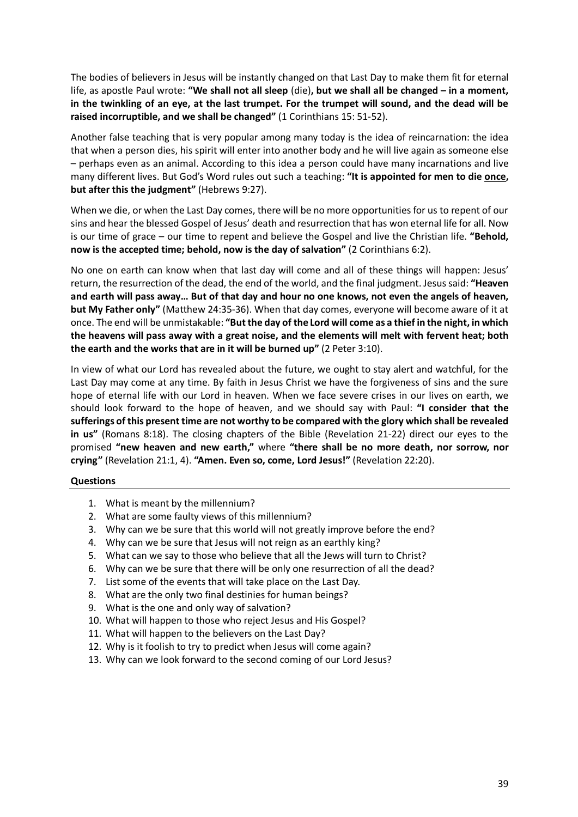The bodies of believers in Jesus will be instantly changed on that Last Day to make them fit for eternal life, as apostle Paul wrote: **"We shall not all sleep** (die)**, but we shall all be changed – in a moment, in the twinkling of an eye, at the last trumpet. For the trumpet will sound, and the dead will be raised incorruptible, and we shall be changed"** (1 Corinthians 15: 51-52).

Another false teaching that is very popular among many today is the idea of reincarnation: the idea that when a person dies, his spirit will enter into another body and he will live again as someone else – perhaps even as an animal. According to this idea a person could have many incarnations and live many different lives. But God's Word rules out such a teaching: **"It is appointed for men to die once, but after this the judgment"** (Hebrews 9:27).

When we die, or when the Last Day comes, there will be no more opportunities for us to repent of our sins and hear the blessed Gospel of Jesus' death and resurrection that has won eternal life for all. Now is our time of grace – our time to repent and believe the Gospel and live the Christian life. **"Behold, now is the accepted time; behold, now is the day of salvation"** (2 Corinthians 6:2).

No one on earth can know when that last day will come and all of these things will happen: Jesus' return, the resurrection of the dead, the end of the world, and the final judgment. Jesus said: **"Heaven and earth will pass away… But of that day and hour no one knows, not even the angels of heaven, but My Father only"** (Matthew 24:35-36). When that day comes, everyone will become aware of it at once. The end will be unmistakable: **"But the day of the Lord will come as a thief in the night, in which the heavens will pass away with a great noise, and the elements will melt with fervent heat; both the earth and the works that are in it will be burned up"** (2 Peter 3:10).

In view of what our Lord has revealed about the future, we ought to stay alert and watchful, for the Last Day may come at any time. By faith in Jesus Christ we have the forgiveness of sins and the sure hope of eternal life with our Lord in heaven. When we face severe crises in our lives on earth, we should look forward to the hope of heaven, and we should say with Paul: **"I consider that the sufferings of this present time are not worthy to be compared with the glory which shall be revealed in us"** (Romans 8:18). The closing chapters of the Bible (Revelation 21-22) direct our eyes to the promised **"new heaven and new earth,"** where **"there shall be no more death, nor sorrow, nor crying"** (Revelation 21:1, 4). **"Amen. Even so, come, Lord Jesus!"** (Revelation 22:20).

#### **Questions**

- 1. What is meant by the millennium?
- 2. What are some faulty views of this millennium?
- 3. Why can we be sure that this world will not greatly improve before the end?
- 4. Why can we be sure that Jesus will not reign as an earthly king?
- 5. What can we say to those who believe that all the Jews will turn to Christ?
- 6. Why can we be sure that there will be only one resurrection of all the dead?
- 7. List some of the events that will take place on the Last Day.
- 8. What are the only two final destinies for human beings?
- 9. What is the one and only way of salvation?
- 10. What will happen to those who reject Jesus and His Gospel?
- 11. What will happen to the believers on the Last Day?
- 12. Why is it foolish to try to predict when Jesus will come again?
- 13. Why can we look forward to the second coming of our Lord Jesus?